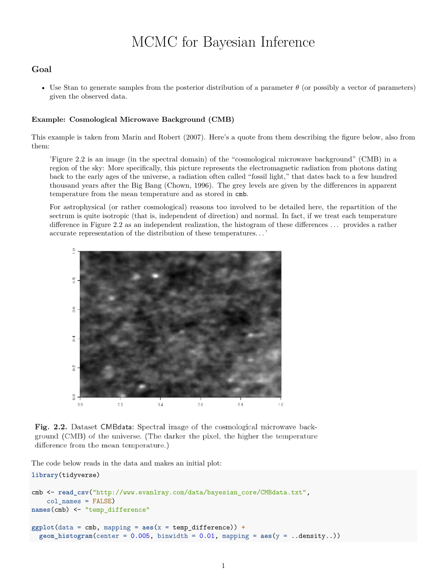# MCMC for Bayesian Inference

# **Goal**

• Use Stan to generate samples from the posterior distribution of a parameter  $\theta$  (or possibly a vector of parameters) given the observed data.

## **Example: Cosmological Microwave Background (CMB)**

This example is taken from Marin and Robert (2007). Here's a quote from them describing the figure below, also from them:

'Figure 2.2 is an image (in the spectral domain) of the "cosmological microwave background" (CMB) in a region of the sky: More specifically, this picture represents the electromagnetic radiation from photons dating back to the early ages of the universe, a radiation often called "fossil light," that dates back to a few hundred thousand years after the Big Bang (Chown, 1996). The grey levels are given by the differences in apparent temperature from the mean temperature and as stored in cmb.

For astrophysical (or rather cosmological) reasons too involved to be detailed here, the repartition of the sectrum is quite isotropic (that is, independent of direction) and normal. In fact, if we treat each temperature difference in Figure 2.2 as an independent realization, the histogram of these differences . . . provides a rather accurate representation of the distribution of these temperatures. . . '



Fig. 2.2. Dataset CMBdata: Spectral image of the cosmological microwave background (CMB) of the universe. (The darker the pixel, the higher the temperature difference from the mean temperature.)

The code below reads in the data and makes an initial plot:

## **library**(tidyverse)

```
cmb <- read_csv("http://www.evanlray.com/data/bayesian_core/CMBdata.txt",
    col_names = FALSE)
names(cmb) <- "temp_difference"
ggplot(data = cmb, mapping = aes(x = temp_difference)) +\text{geom}_h histogram(center = 0.005, binwidth = 0.01, mapping = \text{aes}(y = .\text{density}..))
```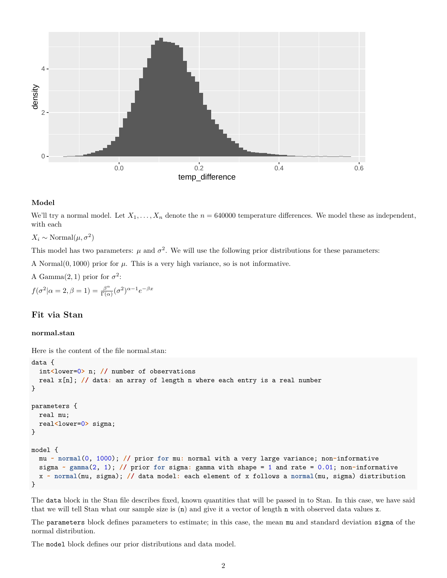

### **Model**

We'll try a normal model. Let  $X_1, \ldots, X_n$  denote the  $n = 640000$  temperature differences. We model these as independent, with each

 $X_i \sim \text{Normal}(\mu, \sigma^2)$ 

This model has two parameters:  $\mu$  and  $\sigma^2$ . We will use the following prior distributions for these parameters:

A Normal $(0, 1000)$  prior for  $\mu$ . This is a very high variance, so is not informative.

A Gamma $(2, 1)$  prior for  $\sigma^2$ :

 $f(\sigma^2|\alpha=2,\beta=1)=\frac{\beta^{\alpha}}{\Gamma(\alpha)}$  $\frac{\beta^{\alpha}}{\Gamma(\alpha)}(\sigma^2)^{\alpha-1}e^{-\beta x}$ 

# **Fit via Stan**

## **normal.stan**

Here is the content of the file normal.stan:

```
data {
  int<lower=0> n; // number of observations
  real x[n]; // data: an array of length n where each entry is a real number
}
parameters {
  real mu;
  real<lower=0> sigma;
}
model {
  mu ~ normal(0, 1000); // prior for mu: normal with a very large variance; non-informative
  sigma ~ gamma(2, 1); // prior for sigma: gamma with shape = 1 and rate = 0.01; non-informative
  x ~ normal(mu, sigma); // data model: each element of x follows a normal(mu, sigma) distribution
}
```
The data block in the Stan file describes fixed, known quantities that will be passed in to Stan. In this case, we have said that we will tell Stan what our sample size is (n) and give it a vector of length n with observed data values x.

The parameters block defines parameters to estimate; in this case, the mean mu and standard deviation sigma of the normal distribution.

The model block defines our prior distributions and data model.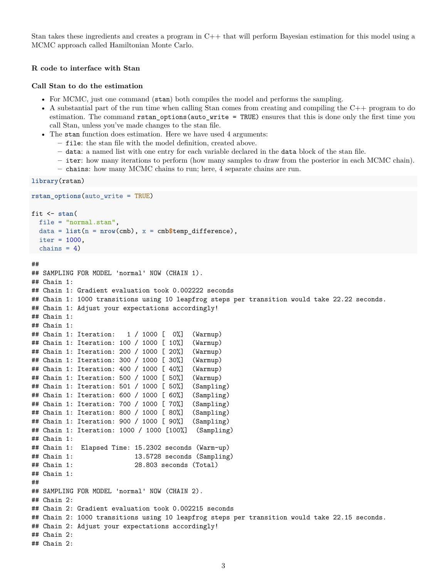Stan takes these ingredients and creates a program in C++ that will perform Bayesian estimation for this model using a MCMC approach called Hamiltonian Monte Carlo.

## **R code to interface with Stan**

#### **Call Stan to do the estimation**

- For MCMC, just one command (stan) both compiles the model and performs the sampling.
- A substantial part of the run time when calling Stan comes from creating and compiling the C++ program to do estimation. The command rstan\_options(auto\_write = TRUE) ensures that this is done only the first time you call Stan, unless you've made changes to the stan file.
- The stan function does estimation. Here we have used 4 arguments:
	- **–** file: the stan file with the model definition, created above.
	- **–** data: a named list with one entry for each variable declared in the data block of the stan file.
	- **–** iter: how many iterations to perform (how many samples to draw from the posterior in each MCMC chain).
	- **–** chains: how many MCMC chains to run; here, 4 separate chains are run.

```
library(rstan)
```

```
rstan_options(auto_write = TRUE)
fit <- stan(
  file = "normal.stan",
  data = list(n = nrow(cmb), x = cmb$temp_difference),
  iter = 1000,chains = 4)
```

```
##
```

```
## SAMPLING FOR MODEL 'normal' NOW (CHAIN 1).
## Chain 1:
## Chain 1: Gradient evaluation took 0.002222 seconds
## Chain 1: 1000 transitions using 10 leapfrog steps per transition would take 22.22 seconds.
## Chain 1: Adjust your expectations accordingly!
## Chain 1:
## Chain 1:
## Chain 1: Iteration: 1 / 1000 [ 0%] (Warmup)
## Chain 1: Iteration: 100 / 1000 [ 10%] (Warmup)
## Chain 1: Iteration: 200 / 1000 [ 20%] (Warmup)
## Chain 1: Iteration: 300 / 1000 [ 30%] (Warmup)
## Chain 1: Iteration: 400 / 1000 [ 40%] (Warmup)
## Chain 1: Iteration: 500 / 1000 [ 50%] (Warmup)
## Chain 1: Iteration: 501 / 1000 [ 50%] (Sampling)
## Chain 1: Iteration: 600 / 1000 [ 60%] (Sampling)
## Chain 1: Iteration: 700 / 1000 [ 70%] (Sampling)
## Chain 1: Iteration: 800 / 1000 [ 80%] (Sampling)
## Chain 1: Iteration: 900 / 1000 [ 90%] (Sampling)
## Chain 1: Iteration: 1000 / 1000 [100%] (Sampling)
## Chain 1:
## Chain 1: Elapsed Time: 15.2302 seconds (Warm-up)
## Chain 1: 13.5728 seconds (Sampling)
## Chain 1: 28.803 seconds (Total)
## Chain 1:
##
## SAMPLING FOR MODEL 'normal' NOW (CHAIN 2).
## Chain 2:
## Chain 2: Gradient evaluation took 0.002215 seconds
## Chain 2: 1000 transitions using 10 leapfrog steps per transition would take 22.15 seconds.
## Chain 2: Adjust your expectations accordingly!
## Chain 2:
## Chain 2:
```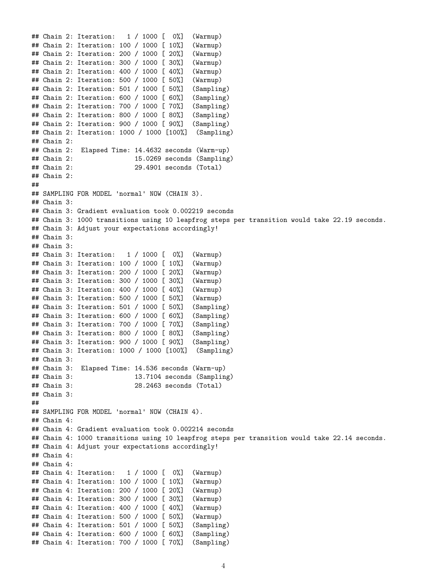```
## Chain 2: Iteration: 1 / 1000 [ 0%] (Warmup)
## Chain 2: Iteration: 100 / 1000 [ 10%] (Warmup)
## Chain 2: Iteration: 200 / 1000 [ 20%] (Warmup)
## Chain 2: Iteration: 300 / 1000 [ 30%] (Warmup)
## Chain 2: Iteration: 400 / 1000 [ 40%] (Warmup)
## Chain 2: Iteration: 500 / 1000 [ 50%] (Warmup)
## Chain 2: Iteration: 501 / 1000 [ 50%] (Sampling)
## Chain 2: Iteration: 600 / 1000 [ 60%] (Sampling)
## Chain 2: Iteration: 700 / 1000 [ 70%] (Sampling)
## Chain 2: Iteration: 800 / 1000 [ 80%] (Sampling)
## Chain 2: Iteration: 900 / 1000 [ 90%] (Sampling)
## Chain 2: Iteration: 1000 / 1000 [100%] (Sampling)
## Chain 2:
## Chain 2: Elapsed Time: 14.4632 seconds (Warm-up)
## Chain 2: 15.0269 seconds (Sampling)
## Chain 2: 29.4901 seconds (Total)
## Chain 2:
##
## SAMPLING FOR MODEL 'normal' NOW (CHAIN 3).
## Chain 3:
## Chain 3: Gradient evaluation took 0.002219 seconds
## Chain 3: 1000 transitions using 10 leapfrog steps per transition would take 22.19 seconds.
## Chain 3: Adjust your expectations accordingly!
## Chain 3:
## Chain 3:
## Chain 3: Iteration: 1 / 1000 [ 0%] (Warmup)
## Chain 3: Iteration: 100 / 1000 [ 10%] (Warmup)
## Chain 3: Iteration: 200 / 1000 [ 20%] (Warmup)
## Chain 3: Iteration: 300 / 1000 [ 30%] (Warmup)
## Chain 3: Iteration: 400 / 1000 [ 40%] (Warmup)
## Chain 3: Iteration: 500 / 1000 [ 50%] (Warmup)
## Chain 3: Iteration: 501 / 1000 [ 50%] (Sampling)
## Chain 3: Iteration: 600 / 1000 [ 60%] (Sampling)
## Chain 3: Iteration: 700 / 1000 [ 70%] (Sampling)
## Chain 3: Iteration: 800 / 1000 [ 80%] (Sampling)
## Chain 3: Iteration: 900 / 1000 [ 90%] (Sampling)
## Chain 3: Iteration: 1000 / 1000 [100%] (Sampling)
## Chain 3:
## Chain 3: Elapsed Time: 14.536 seconds (Warm-up)
## Chain 3: 13.7104 seconds (Sampling)
## Chain 3: 28.2463 seconds (Total)
## Chain 3:
##
## SAMPLING FOR MODEL 'normal' NOW (CHAIN 4).
## Chain 4:
## Chain 4: Gradient evaluation took 0.002214 seconds
## Chain 4: 1000 transitions using 10 leapfrog steps per transition would take 22.14 seconds.
## Chain 4: Adjust your expectations accordingly!
## Chain 4:
## Chain 4:
## Chain 4: Iteration: 1 / 1000 [ 0%] (Warmup)
## Chain 4: Iteration: 100 / 1000 [ 10%] (Warmup)
## Chain 4: Iteration: 200 / 1000 [ 20%] (Warmup)
## Chain 4: Iteration: 300 / 1000 [ 30%] (Warmup)
## Chain 4: Iteration: 400 / 1000 [ 40%] (Warmup)
## Chain 4: Iteration: 500 / 1000 [ 50%] (Warmup)
## Chain 4: Iteration: 501 / 1000 [ 50%] (Sampling)
## Chain 4: Iteration: 600 / 1000 [ 60%] (Sampling)
## Chain 4: Iteration: 700 / 1000 [ 70%] (Sampling)
```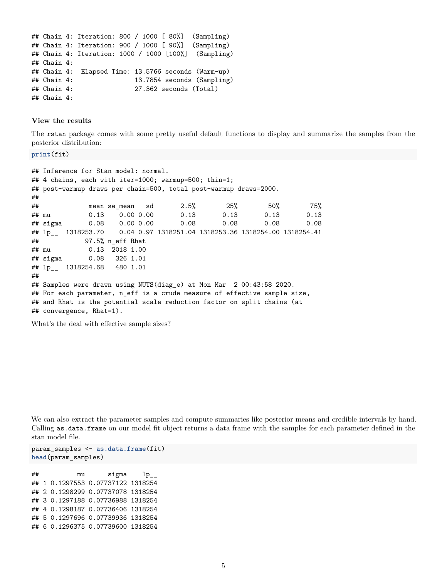```
## Chain 4: Iteration: 800 / 1000 [ 80%] (Sampling)
## Chain 4: Iteration: 900 / 1000 [ 90%] (Sampling)
## Chain 4: Iteration: 1000 / 1000 [100%] (Sampling)
## Chain 4:
## Chain 4: Elapsed Time: 13.5766 seconds (Warm-up)
## Chain 4: 13.7854 seconds (Sampling)
## Chain 4: 27.362 seconds (Total)
## Chain 4:
```
#### **View the results**

The rstan package comes with some pretty useful default functions to display and summarize the samples from the posterior distribution:

```
print(fit)
```

```
## Inference for Stan model: normal.
## 4 chains, each with iter=1000; warmup=500; thin=1;
## post-warmup draws per chain=500, total post-warmup draws=2000.
##
## mean se_mean sd 2.5% 25% 50% 75%
## mu 0.13 0.00 0.00 0.13 0.13 0.13 0.13
## sigma 0.08 0.00 0.00 0.08 0.08 0.08 0.08
## lp__ 1318253.70 0.04 0.97 1318251.04 1318253.36 1318254.00 1318254.41
## 97.5% n_eff Rhat
## mu 0.13 2018 1.00
## sigma 0.08 326 1.01
## lp__ 1318254.68 480 1.01
##
## Samples were drawn using NUTS(diag_e) at Mon Mar 2 00:43:58 2020.
## For each parameter, n_eff is a crude measure of effective sample size,
## and Rhat is the potential scale reduction factor on split chains (at
## convergence, Rhat=1).
```
What's the deal with effective sample sizes?

We can also extract the parameter samples and compute summaries like posterior means and credible intervals by hand. Calling as.data.frame on our model fit object returns a data frame with the samples for each parameter defined in the stan model file.

```
param_samples <- as.data.frame(fit)
head(param_samples)
```
## mu sigma lp\_\_ ## 1 0.1297553 0.07737122 1318254 ## 2 0.1298299 0.07737078 1318254 ## 3 0.1297188 0.07736988 1318254 ## 4 0.1298187 0.07736406 1318254 ## 5 0.1297696 0.07739936 1318254 ## 6 0.1296375 0.07739600 1318254